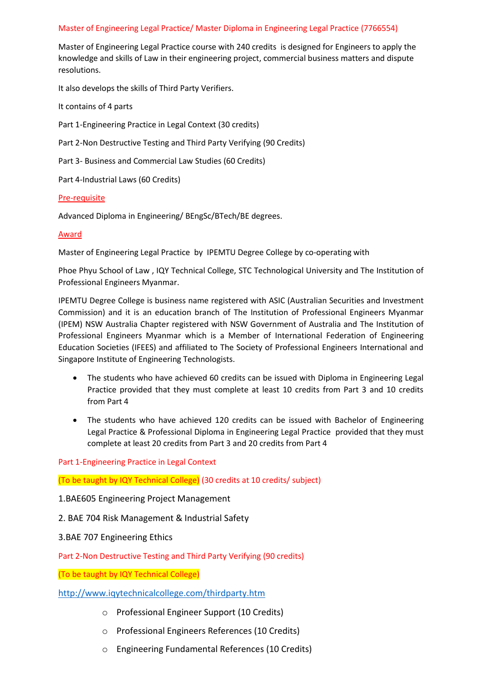# Master of Engineering Legal Practice/ Master Diploma in Engineering Legal Practice (7766554)

Master of Engineering Legal Practice course with 240 credits is designed for Engineers to apply the knowledge and skills of Law in their engineering project, commercial business matters and dispute resolutions.

It also develops the skills of Third Party Verifiers.

It contains of 4 parts

Part 1-Engineering Practice in Legal Context (30 credits)

Part 2-Non Destructive Testing and Third Party Verifying (90 Credits)

Part 3- Business and Commercial Law Studies (60 Credits)

Part 4-Industrial Laws (60 Credits)

### Pre-requisite

Advanced Diploma in Engineering/ BEngSc/BTech/BE degrees.

## Award

Master of Engineering Legal Practice by IPEMTU Degree College by co-operating with

Phoe Phyu School of Law , IQY Technical College, STC Technological University and The Institution of Professional Engineers Myanmar.

IPEMTU Degree College is business name registered with ASIC (Australian Securities and Investment Commission) and it is an education branch of The Institution of Professional Engineers Myanmar (IPEM) NSW Australia Chapter registered with NSW Government of Australia and The Institution of Professional Engineers Myanmar which is a Member of International Federation of Engineering Education Societies (IFEES) and affiliated to The Society of Professional Engineers International and Singapore Institute of Engineering Technologists.

- The students who have achieved 60 credits can be issued with Diploma in Engineering Legal Practice provided that they must complete at least 10 credits from Part 3 and 10 credits from Part 4
- The students who have achieved 120 credits can be issued with Bachelor of Engineering Legal Practice & Professional Diploma in Engineering Legal Practice provided that they must complete at least 20 credits from Part 3 and 20 credits from Part 4

### Part 1-Engineering Practice in Legal Context

(To be taught by IQY Technical College) (30 credits at 10 credits/ subject)

1.BAE605 Engineering Project Management

- 2. BAE 704 Risk Management & Industrial Safety
- 3.BAE 707 Engineering Ethics

Part 2-Non Destructive Testing and Third Party Verifying (90 credits)

(To be taught by IQY Technical College)

## <http://www.iqytechnicalcollege.com/thirdparty.htm>

- o Professional Engineer Support (10 Credits)
- o Professional Engineers References (10 Credits)
- o Engineering Fundamental References (10 Credits)